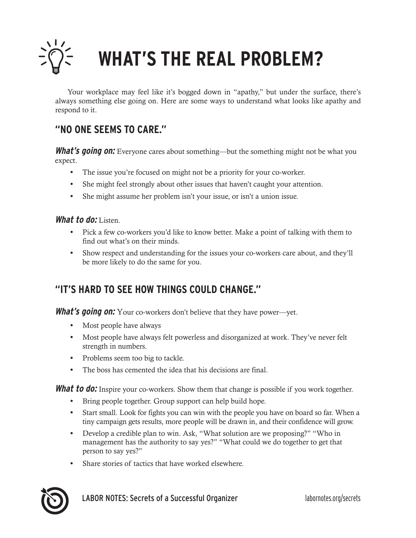

# **WHAT'S THE REAL PROBLEM?**

Your workplace may feel like it's bogged down in "apathy," but under the surface, there's always something else going on. Here are some ways to understand what looks like apathy and respond to it.

### **"NO ONE SEEMS TO CARE."**

**What's going on:** Everyone cares about something—but the something might not be what you expect.

- **•** The issue you're focused on might not be a priority for your co-worker.
- **•** She might feel strongly about other issues that haven't caught your attention.
- **•** She might assume her problem isn't your issue, or isn't a union issue.

#### **What to do:** Listen.

- **•** Pick a few co-workers you'd like to know better. Make a point of talking with them to find out what's on their minds.
- **•** Show respect and understanding for the issues your co-workers care about, and they'll be more likely to do the same for you.

#### **"IT'S HARD TO SEE HOW THINGS COULD CHANGE."**

**What's going on:** Your co-workers don't believe that they have power—yet.

- **•** Most people have always
- **•** Most people have always felt powerless and disorganized at work. They've never felt strength in numbers.
- **•** Problems seem too big to tackle.
- **•** The boss has cemented the idea that his decisions are final.

**What to do:** Inspire your co-workers. Show them that change is possible if you work together.

- **•** Bring people together. Group support can help build hope.
- **•** Start small. Look for fights you can win with the people you have on board so far. When a tiny campaign gets results, more people will be drawn in, and their confidence will grow.
- **•** Develop a credible plan to win. Ask, "What solution are we proposing?" "Who in management has the authority to say yes?" "What could we do together to get that person to say yes?"
- **•** Share stories of tactics that have worked elsewhere.